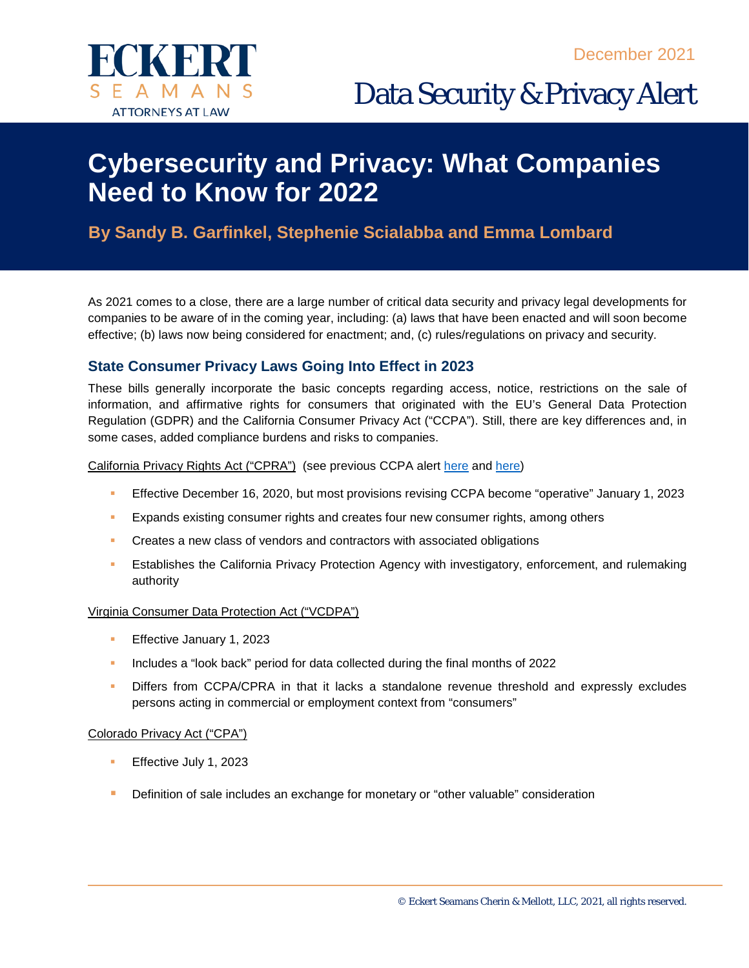

Data Security & Privacy Alert

# **Cybersecurity and Privacy: What Companies Need to Know for 2022**

## **By Sandy B. Garfinkel, Stephenie Scialabba and Emma Lombard**

As 2021 comes to a close, there are a large number of critical data security and privacy legal developments for companies to be aware of in the coming year, including: (a) laws that have been enacted and will soon become effective; (b) laws now being considered for enactment; and, (c) rules/regulations on privacy and security.

## **State Consumer Privacy Laws Going Into Effect in 2023**

These bills generally incorporate the basic concepts regarding access, notice, restrictions on the sale of information, and affirmative rights for consumers that originated with the EU's General Data Protection Regulation (GDPR) and the California Consumer Privacy Act ("CCPA"). Still, there are key differences and, in some cases, added compliance burdens and risks to companies.

#### California Privacy Rights Act ("CPRA") (see previous CCPA alert [here](https://www.eckertseamans.com/legal-updates/california-privacy-rights-act-of-2020-to-appear-on-november-ballot-introduces-significant-amendments-to-ccpa) and [here\)](https://www.eckertseamans.com/legal-updates/final-set-of-ccpa-regulations-approved)

- Effective December 16, 2020, but most provisions revising CCPA become "operative" January 1, 2023
- **Expands existing consumer rights and creates four new consumer rights, among others**
- **Creates a new class of vendors and contractors with associated obligations**
- **Establishes the California Privacy Protection Agency with investigatory, enforcement, and rulemaking** authority

#### Virginia Consumer Data Protection Act ("VCDPA")

- Effective January 1, 2023
- Includes a "look back" period for data collected during the final months of 2022
- Differs from CCPA/CPRA in that it lacks a standalone revenue threshold and expressly excludes persons acting in commercial or employment context from "consumers"

#### Colorado Privacy Act ("CPA")

- **Effective July 1, 2023**
- Definition of sale includes an exchange for monetary or "other valuable" consideration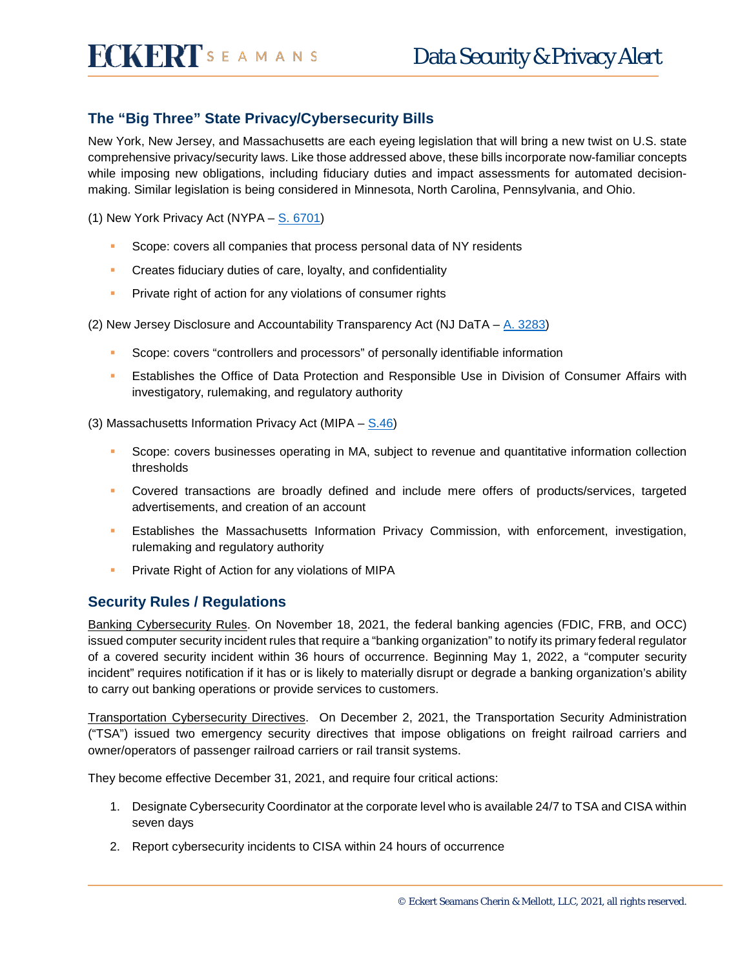## **The "Big Three" State Privacy/Cybersecurity Bills**

New York, New Jersey, and Massachusetts are each eyeing legislation that will bring a new twist on U.S. state comprehensive privacy/security laws. Like those addressed above, these bills incorporate now-familiar concepts while imposing new obligations, including fiduciary duties and impact assessments for automated decisionmaking. Similar legislation is being considered in Minnesota, North Carolina, Pennsylvania, and Ohio.

(1) New York Privacy Act (NYPA – [S. 6701\)](https://www.nysenate.gov/legislation/bills/2021/s6701)

- **Scope: covers all companies that process personal data of NY residents**
- **Creates fiduciary duties of care, loyalty, and confidentiality**
- **Private right of action for any violations of consumer rights**

(2) New Jersey Disclosure and Accountability Transparency Act (NJ DaTA – [A. 3283\)](https://www.njleg.state.nj.us/2020/Bills/A3500/3283_I1.PDF)

- Scope: covers "controllers and processors" of personally identifiable information
- **Establishes the Office of Data Protection and Responsible Use in Division of Consumer Affairs with** investigatory, rulemaking, and regulatory authority

(3) Massachusetts Information Privacy Act (MIPA  $-$  [S.46\)](https://malegislature.gov/Bills/192/SD1726)

- Scope: covers businesses operating in MA, subject to revenue and quantitative information collection thresholds
- Covered transactions are broadly defined and include mere offers of products/services, targeted advertisements, and creation of an account
- **Establishes the Massachusetts Information Privacy Commission, with enforcement, investigation,** rulemaking and regulatory authority
- **Private Right of Action for any violations of MIPA**

### **Security Rules / Regulations**

Banking Cybersecurity Rules. On November 18, 2021, the federal banking agencies (FDIC, FRB, and OCC) issued computer security incident rules that require a "banking organization" to notify its primary federal regulator of a covered security incident within 36 hours of occurrence. Beginning May 1, 2022, a "computer security incident" requires notification if it has or is likely to materially disrupt or degrade a banking organization's ability to carry out banking operations or provide services to customers.

Transportation Cybersecurity Directives. On December 2, 2021, the Transportation Security Administration ("TSA") issued two emergency security directives that impose obligations on freight railroad carriers and owner/operators of passenger railroad carriers or rail transit systems.

They become effective December 31, 2021, and require four critical actions:

- 1. Designate Cybersecurity Coordinator at the corporate level who is available 24/7 to TSA and CISA within seven days
- 2. Report cybersecurity incidents to CISA within 24 hours of occurrence